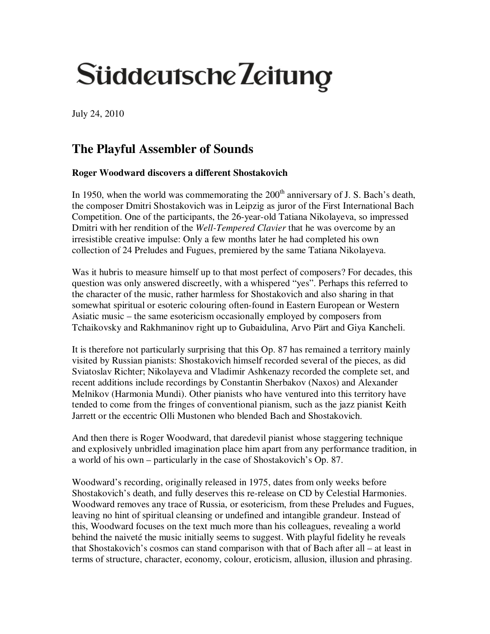## Süddeutsche Zeitung

July 24, 2010

## **The Playful Assembler of Sounds**

## **Roger Woodward discovers a different Shostakovich**

In 1950, when the world was commemorating the  $200<sup>th</sup>$  anniversary of J. S. Bach's death, the composer Dmitri Shostakovich was in Leipzig as juror of the First International Bach Competition. One of the participants, the 26-year-old Tatiana Nikolayeva, so impressed Dmitri with her rendition of the *Well-Tempered Clavier* that he was overcome by an irresistible creative impulse: Only a few months later he had completed his own collection of 24 Preludes and Fugues, premiered by the same Tatiana Nikolayeva.

Was it hubris to measure himself up to that most perfect of composers? For decades, this question was only answered discreetly, with a whispered "yes". Perhaps this referred to the character of the music, rather harmless for Shostakovich and also sharing in that somewhat spiritual or esoteric colouring often-found in Eastern European or Western Asiatic music – the same esotericism occasionally employed by composers from Tchaikovsky and Rakhmaninov right up to Gubaidulina, Arvo Pärt and Giya Kancheli.

It is therefore not particularly surprising that this Op. 87 has remained a territory mainly visited by Russian pianists: Shostakovich himself recorded several of the pieces, as did Sviatoslav Richter; Nikolayeva and Vladimir Ashkenazy recorded the complete set, and recent additions include recordings by Constantin Sherbakov (Naxos) and Alexander Melnikov (Harmonia Mundi). Other pianists who have ventured into this territory have tended to come from the fringes of conventional pianism, such as the jazz pianist Keith Jarrett or the eccentric Olli Mustonen who blended Bach and Shostakovich.

And then there is Roger Woodward, that daredevil pianist whose staggering technique and explosively unbridled imagination place him apart from any performance tradition, in a world of his own – particularly in the case of Shostakovich's Op. 87.

Woodward's recording, originally released in 1975, dates from only weeks before Shostakovich's death, and fully deserves this re-release on CD by Celestial Harmonies. Woodward removes any trace of Russia, or esotericism, from these Preludes and Fugues, leaving no hint of spiritual cleansing or undefined and intangible grandeur. Instead of this, Woodward focuses on the text much more than his colleagues, revealing a world behind the naiveté the music initially seems to suggest. With playful fidelity he reveals that Shostakovich's cosmos can stand comparison with that of Bach after all – at least in terms of structure, character, economy, colour, eroticism, allusion, illusion and phrasing.